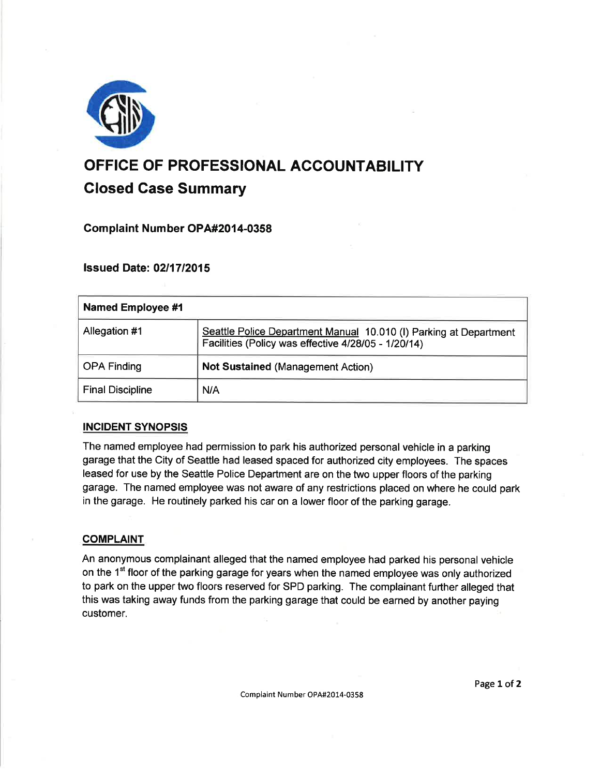

# OFFICE OF PROFESSIONAL ACCOUNTABILITY Glosed Case Summary

## Gomplaint Number OP A#2014-0358

**Issued Date: 02/17/2015** 

| <b>Named Employee #1</b> |                                                                                                                          |
|--------------------------|--------------------------------------------------------------------------------------------------------------------------|
| Allegation #1            | Seattle Police Department Manual 10.010 (I) Parking at Department<br>Facilities (Policy was effective 4/28/05 - 1/20/14) |
| <b>OPA Finding</b>       | <b>Not Sustained (Management Action)</b>                                                                                 |
| <b>Final Discipline</b>  | N/A                                                                                                                      |

## INCIDENT SYNOPSIS

The named employee had permission to park his authorized personalvehicle in a parking garage that the City of Seattle had leased spaced for authorized city employees. The spaces leased for use by the Seattle Police Department are on the two upper floors of the parking garage. The named employee was not aware of any restrictions placed on where he could park in the garage. He routinely parked his car on a lower floor of the parking garage.

#### **COMPLAINT**

An anonymous complainant alleged that the named employee had parked his personal vehicle on the 1<sup>st</sup> floor of the parking garage for years when the named employee was only authorized to park on the upper two floors reserved for SPD parking. The complainant further alleged that this was taking away funds from the parking garage that could be earned by another paying customer.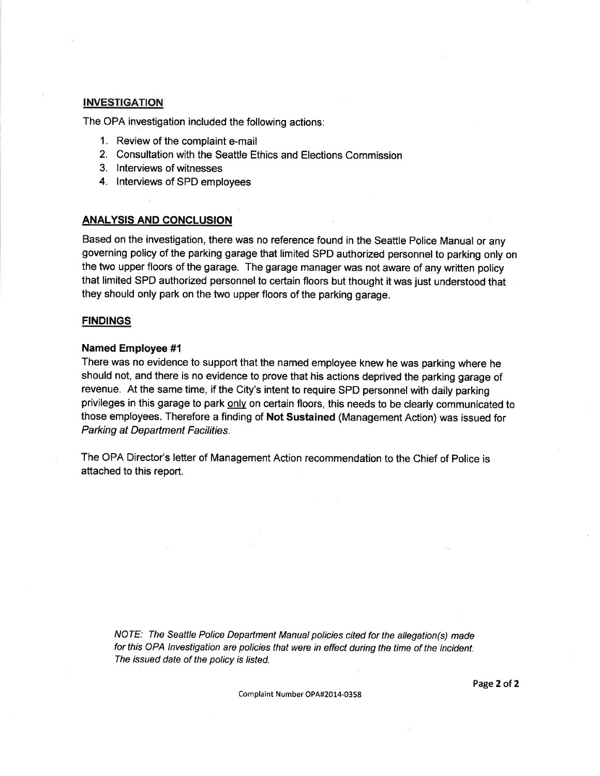## **INVESTIGATION**

The OPA investigation included the following actions:

- 1. Review of the complaint e-mail
- 2. Consultation with the Seattle Ethics and Elections Commission
- 3. lnterviews of witnesses
- 4. lnterviews of SPD employees

#### ANALYSIS AND CONCLUSION

Based on the investigation, there was no reference found in the Seattle Police Manual or any governing policy of the parking garage that limited SPD authorized personnel to parking only on the two upper floors of the garage. The garage manager was not aware of any written policy that limited SPD authorized personnel to certain floors but thought it was just understood that they should only park on the two upper floors of the parking garage.

#### **FINDINGS**

#### Named Employee #l

There was no evidence to support that the named employee knew he was parking where he should not, and there is no evidence to prove that his actions deprived the parking garage of revenue. At the same time, if the City's intent to require SPD personnel with daily parking privileges in this garage to park onlv on certain floors, this needs to be clearly communicated to those employees. Therefore a finding of Not Sustained (Management Action) was issued for Parking at Department Facilities.

The OPA Director's letter of Management Action recommendation to the Chief of Police is attached to this report.

NOTE: The Seattle Police Department Manual policies cited for the allegation(s) made for this OPA lnvestigation are policies that were in effect during the time of the incident. The issued date of the policy is listed.

Complaint Number OPA#20L4-0358